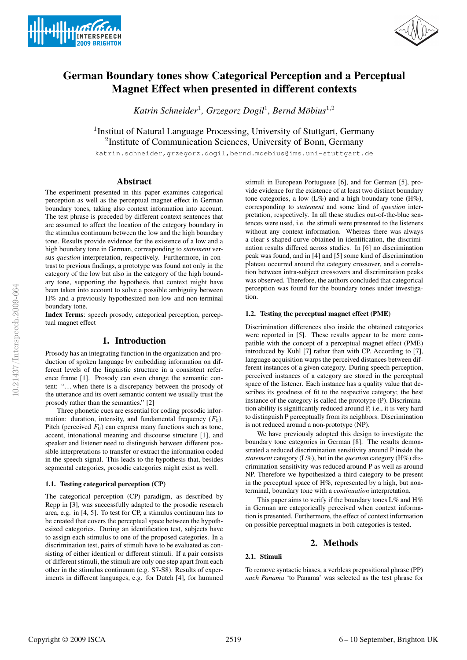



# German Boundary tones show Categorical Perception and a Perceptual Magnet Effect when presented in different contexts

*Katrin Schneider*<sup>1</sup> *, Grzegorz Dogil*<sup>1</sup> *, Bernd Mobius ¨* 1,2

<sup>1</sup> Institut of Natural Language Processing, University of Stuttgart, Germany <sup>2</sup>Institute of Communication Sciences, University of Bonn, Germany

katrin.schneider,grzegorz.dogil,bernd.moebius@ims.uni-stuttgart.de

# Abstract

The experiment presented in this paper examines categorical perception as well as the perceptual magnet effect in German boundary tones, taking also context information into account. The test phrase is preceded by different context sentences that are assumed to affect the location of the category boundary in the stimulus continuum between the low and the high boundary tone. Results provide evidence for the existence of a low and a high boundary tone in German, corresponding to *statement* versus *question* interpretation, respectively. Furthermore, in contrast to previous findings, a prototype was found not only in the category of the low but also in the category of the high boundary tone, supporting the hypothesis that context might have been taken into account to solve a possible ambiguity between H% and a previously hypothesized non-low and non-terminal boundary tone.

Index Terms: speech prosody, categorical perception, perceptual magnet effect

# 1. Introduction

Prosody has an integrating function in the organization and production of spoken language by embedding information on different levels of the linguistic structure in a consistent reference frame [1]. Prosody can even change the semantic content: ". . . when there is a discrepancy between the prosody of the utterance and its overt semantic content we usually trust the prosody rather than the semantics." [2]

Three phonetic cues are essential for coding prosodic information: duration, intensity, and fundamental frequency  $(F_0)$ . Pitch (perceived  $F_0$ ) can express many functions such as tone, accent, intonational meaning and discourse structure [1], and speaker and listener need to distinguish between different possible interpretations to transfer or extract the information coded in the speech signal. This leads to the hypothesis that, besides segmental categories, prosodic categories might exist as well.

### 1.1. Testing categorical perception (CP)

The categorical perception (CP) paradigm, as described by Repp in [3], was successfully adapted to the prosodic research area, e.g. in [4, 5]. To test for CP, a stimulus continuum has to be created that covers the perceptual space between the hypothesized categories. During an identification test, subjects have to assign each stimulus to one of the proposed categories. In a discrimination test, pairs of stimuli have to be evaluated as consisting of either identical or different stimuli. If a pair consists of different stimuli, the stimuli are only one step apart from each other in the stimulus continuum (e.g. S7-S8). Results of experiments in different languages, e.g. for Dutch [4], for hummed

stimuli in European Portuguese [6], and for German [5], provide evidence for the existence of at least two distinct boundary tone categories, a low  $(L\%)$  and a high boundary tone  $(H\%)$ , corresponding to *statement* and some kind of *question* interpretation, respectively. In all these studies out-of-the-blue sentences were used, i.e. the stimuli were presented to the listeners without any context information. Whereas there was always a clear s-shaped curve obtained in identification, the discrimination results differed across studies. In [6] no discrimination peak was found, and in [4] and [5] some kind of discrimination plateau occurred around the category crossover, and a correlation between intra-subject crossovers and discrimination peaks was observed. Therefore, the authors concluded that categorical perception was found for the boundary tones under investigation.

#### 1.2. Testing the perceptual magnet effect (PME)

Discrimination differences also inside the obtained categories were reported in [5]. These results appear to be more compatible with the concept of a perceptual magnet effect (PME) introduced by Kuhl [7] rather than with CP. According to [7], language acquisition warps the perceived distances between different instances of a given category. During speech perception, perceived instances of a category are stored in the perceptual space of the listener. Each instance has a quality value that describes its goodness of fit to the respective category; the best instance of the category is called the prototype (P). Discrimination ability is significantly reduced around P, i.e., it is very hard to distinguish P perceptually from its neighbors. Discrimination is not reduced around a non-prototype (NP).

We have previously adopted this design to investigate the boundary tone categories in German [8]. The results demonstrated a reduced discrimination sensitivity around P inside the *statement* category (L%), but in the *question* category (H%) discrimination sensitivity was reduced around P as well as around NP. Therefore we hypothesized a third category to be present in the perceptual space of H%, represented by a high, but nonterminal, boundary tone with a *continuation* interpretation.

This paper aims to verify if the boundary tones  $L\%$  and  $H\%$ in German are categorically perceived when context information is presented. Furthermore, the effect of context information on possible perceptual magnets in both categories is tested.

# 2. Methods

# 2.1. Stimuli

To remove syntactic biases, a verbless prepositional phrase (PP) *nach Panama* 'to Panama' was selected as the test phrase for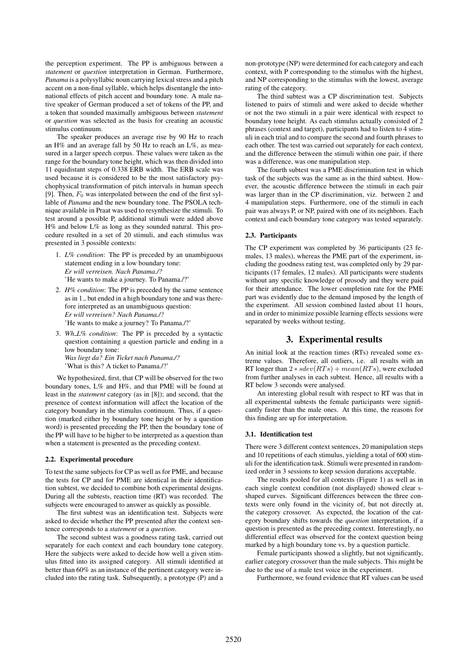the perception experiment. The PP is ambiguous between a *statement* or *question* interpretation in German. Furthermore, *Panama* is a polysyllabic noun carrying lexical stress and a pitch accent on a non-final syllable, which helps disentangle the intonational effects of pitch accent and boundary tone. A male native speaker of German produced a set of tokens of the PP, and a token that sounded maximally ambiguous between *statement* or *question* was selected as the basis for creating an acoustic stimulus continuum.

The speaker produces an average rise by 90 Hz to reach an H% and an average fall by 50 Hz to reach an L%, as measured in a larger speech corpus. These values were taken as the range for the boundary tone height, which was then divided into 11 equidistant steps of 0.338 ERB width. The ERB scale was used because it is considered to be the most satisfactory psychophysical transformation of pitch intervals in human speech [9]. Then,  $F_0$  was interpolated between the end of the first syllable of *Panama* and the new boundary tone. The PSOLA technique available in Praat was used to resynthesize the stimuli. To test around a possible P, additional stimuli were added above H% and below L% as long as they sounded natural. This procedure resulted in a set of 20 stimuli, and each stimulus was presented in 3 possible contexts:

- 1. *L% condition*: The PP is preceded by an unambiguous statement ending in a low boundary tone: *Er will verreisen. Nach Panama./?* 'He wants to make a journey. To Panama./?'
- 2. *H% condition*: The PP is preceded by the same sentence as in 1., but ended in a high boundary tone and was therefore interpreted as an unambiguous question: *Er will verreisen? Nach Panama./?* 'He wants to make a journey? To Panama./?'
- 3. *Wh L% condition*: The PP is preceded by a syntactic question containing a question particle and ending in a low boundary tone: *Was liegt da? Ein Ticket nach Panama./?* 'What is this? A ticket to Panama./?'

We hypothesized, first, that CP will be observed for the two boundary tones, L% and H%, and that PME will be found at least in the *statement* category (as in [8]); and second, that the presence of context information will affect the location of the category boundary in the stimulus continuum. Thus, if a question (marked either by boundary tone height or by a question word) is presented preceding the PP, then the boundary tone of the PP will have to be higher to be interpreted as a question than when a statement is presented as the preceding context.

# 2.2. Experimental procedure

To test the same subjects for CP as well as for PME, and because the tests for CP and for PME are identical in their identification subtest, we decided to combine both experimental designs. During all the subtests, reaction time (RT) was recorded. The subjects were encouraged to answer as quickly as possible.

The first subtest was an identification test. Subjects were asked to decide whether the PP presented after the context sentence corresponds to a *statement* or a *question*.

The second subtest was a goodness rating task, carried out separately for each context and each boundary tone category. Here the subjects were asked to decide how well a given stimulus fitted into its assigned category. All stimuli identified at better than 60% as an instance of the pertinent category were included into the rating task. Subsequently, a prototype (P) and a

non-prototype (NP) were determined for each category and each context, with P corresponding to the stimulus with the highest, and NP corresponding to the stimulus with the lowest, average rating of the category.

The third subtest was a CP discrimination test. Subjects listened to pairs of stimuli and were asked to decide whether or not the two stimuli in a pair were identical with respect to boundary tone height. As each stimulus actually consisted of 2 phrases (context and target), participants had to listen to 4 stimuli in each trial and to compare the second and fourth phrases to each other. The test was carried out separately for each context, and the difference between the stimuli within one pair, if there was a difference, was one manipulation step.

The fourth subtest was a PME discrimination test in which task of the subjects was the same as in the third subtest. However, the acoustic difference between the stimuli in each pair was larger than in the CP discrimination, viz. between 2 and 4 manipulation steps. Furthermore, one of the stimuli in each pair was always P, or NP, paired with one of its neighbors. Each context and each boundary tone category was tested separately.

# 2.3. Participants

The CP experiment was completed by 36 participants (23 females, 13 males), whereas the PME part of the experiment, including the goodness rating test, was completed only by 29 participants (17 females, 12 males). All participants were students without any specific knowledge of prosody and they were paid for their attendance. The lower completion rate for the PME part was evidently due to the demand imposed by the length of the experiment. All session combined lasted about 11 hours, and in order to minimize possible learning effects sessions were separated by weeks without testing.

# 3. Experimental results

An initial look at the reaction times (RTs) revealed some extreme values. Therefore, all outliers, i.e. all results with an RT longer than  $2 * sdev(RTs) + mean(RTs)$ , were excluded from further analyses in each subtest. Hence, all results with a RT below 3 seconds were analysed.

An interesting global result with respect to RT was that in all experimental subtests the female participants were significantly faster than the male ones. At this time, the reasons for this finding are up for interpretation.

## 3.1. Identification test

There were 3 different context sentences, 20 manipulation steps and 10 repetitions of each stimulus, yielding a total of 600 stimuli for the identification task. Stimuli were presented in randomized order in 3 sessions to keep session durations acceptable.

The results pooled for all contexts (Figure 1) as well as in each single context condition (not displayed) showed clear sshaped curves. Significant differences between the three contexts were only found in the vicinity of, but not directly at, the category crossover. As expected, the location of the category boundary shifts towards the *question* interpretation, if a question is presented as the preceding context. Interestingly, no differential effect was observed for the context question being marked by a high boundary tone vs. by a question particle.

Female participants showed a slightly, but not significantly, earlier category crossover than the male subjects. This might be due to the use of a male test voice in the experiment.

Furthermore, we found evidence that RT values can be used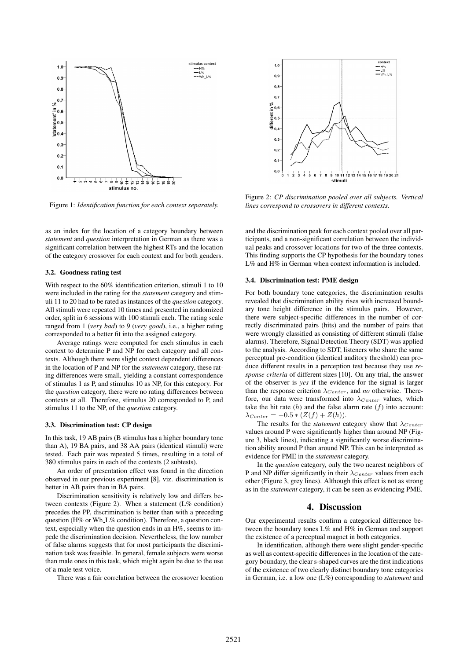

Figure 1: *Identification function for each context separately.*

as an index for the location of a category boundary between *statement* and *question* interpretation in German as there was a significant correlation between the highest RTs and the location of the category crossover for each context and for both genders.

#### 3.2. Goodness rating test

With respect to the 60% identification criterion, stimuli 1 to 10 were included in the rating for the *statement* category and stimuli 11 to 20 had to be rated as instances of the *question* category. All stimuli were repeated 10 times and presented in randomized order, split in 6 sessions with 100 stimuli each. The rating scale ranged from 1 (*very bad*) to 9 (*very good*), i.e., a higher rating corresponded to a better fit into the assigned category.

Average ratings were computed for each stimulus in each context to determine P and NP for each category and all contexts. Although there were slight context dependent differences in the location of P and NP for the *statement* category, these rating differences were small, yielding a constant correspondence of stimulus 1 as P, and stimulus 10 as NP, for this category. For the *question* category, there were no rating differences between contexts at all. Therefore, stimulus 20 corresponded to P, and stimulus 11 to the NP, of the *question* category.

#### 3.3. Discrimination test: CP design

In this task, 19 AB pairs (B stimulus has a higher boundary tone than A), 19 BA pairs, and 38 AA pairs (identical stimuli) were tested. Each pair was repeated 5 times, resulting in a total of 380 stimulus pairs in each of the contexts (2 subtests).

An order of presentation effect was found in the direction observed in our previous experiment [8], viz. discrimination is better in AB pairs than in BA pairs.

Discrimination sensitivity is relatively low and differs between contexts (Figure 2). When a statement (L% condition) precedes the PP, discrimination is better than with a preceding question (H% or Wh L% condition). Therefore, a question context, especially when the question ends in an H%, seems to impede the discrimination decision. Nevertheless, the low number of false alarms suggests that for most participants the discrimination task was feasible. In general, female subjects were worse than male ones in this task, which might again be due to the use of a male test voice.

There was a fair correlation between the crossover location



Figure 2: *CP discrimination pooled over all subjects. Vertical lines correspond to crossovers in different contexts.*

and the discrimination peak for each context pooled over all participants, and a non-significant correlation between the individual peaks and crossover locations for two of the three contexts. This finding supports the CP hypothesis for the boundary tones L% and H% in German when context information is included.

#### 3.4. Discrimination test: PME design

For both boundary tone categories, the discrimination results revealed that discrimination ability rises with increased boundary tone height difference in the stimulus pairs. However, there were subject-specific differences in the number of correctly discriminated pairs (hits) and the number of pairs that were wrongly classified as consisting of different stimuli (false alarms). Therefore, Signal Detection Theory (SDT) was applied to the analysis. According to SDT, listeners who share the same perceptual pre-condition (identical auditory threshold) can produce different results in a perception test because they use *response criteria* of different sizes [10]. On any trial, the answer of the observer is *yes* if the evidence for the signal is larger than the response criterion  $\lambda_{Center}$ , and *no* otherwise. Therefore, our data were transformed into  $\lambda_{Center}$  values, which take the hit rate  $(h)$  and the false alarm rate  $(f)$  into account:  $\lambda_{Center} = -0.5 * (Z(f) + Z(h)).$ 

The results for the *statement* category show that  $\lambda_{Center}$ values around P were significantly higher than around NP (Figure 3, black lines), indicating a significantly worse discrimination ability around P than around NP. This can be interpreted as evidence for PME in the *statement* category.

In the *question* category, only the two nearest neighbors of P and NP differ significantly in their  $\lambda_{Center}$  values from each other (Figure 3, grey lines). Although this effect is not as strong as in the *statement* category, it can be seen as evidencing PME.

# 4. Discussion

Our experimental results confirm a categorical difference between the boundary tones L% and H% in German and support the existence of a perceptual magnet in both categories.

In identification, although there were slight gender-specific as well as context-specific differences in the location of the category boundary, the clear s-shaped curves are the first indications of the existence of two clearly distinct boundary tone categories in German, i.e. a low one (L%) corresponding to *statement* and